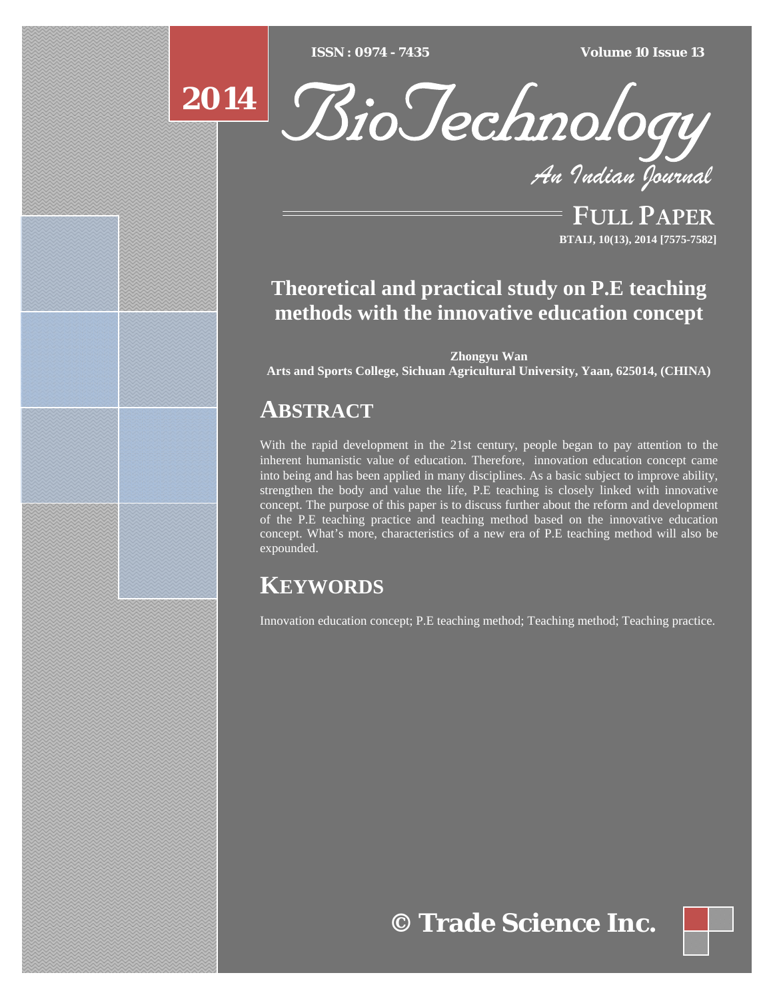**ISSN** : 0974 - 7435 *Type text Type text Type text Type text Type text Type text Type text ISSN : 0974 - 7435 Volume 10 Issue 13*

# **2014**



*An Indian Journal*

FULL PAPER **BTAIJ, 10(13), 2014 [7575-7582]**

### **Theoretical and practical study on P.E teaching methods with the innovative education concept**

**Zhongyu Wan** 

**Arts and Sports College, Sichuan Agricultural University, Yaan, 625014, (CHINA)** 

## **ABSTRACT**

With the rapid development in the 21st century, people began to pay attention to the inherent humanistic value of education. Therefore, innovation education concept came into being and has been applied in many disciplines. As a basic subject to improve ability, strengthen the body and value the life, P.E teaching is closely linked with innovative concept. The purpose of this paper is to discuss further about the reform and development of the P.E teaching practice and teaching method based on the innovative education concept. What's more, characteristics of a new era of P.E teaching method will also be expounded.

### **KEYWORDS**

Innovation education concept; P.E teaching method; Teaching method; Teaching practice.

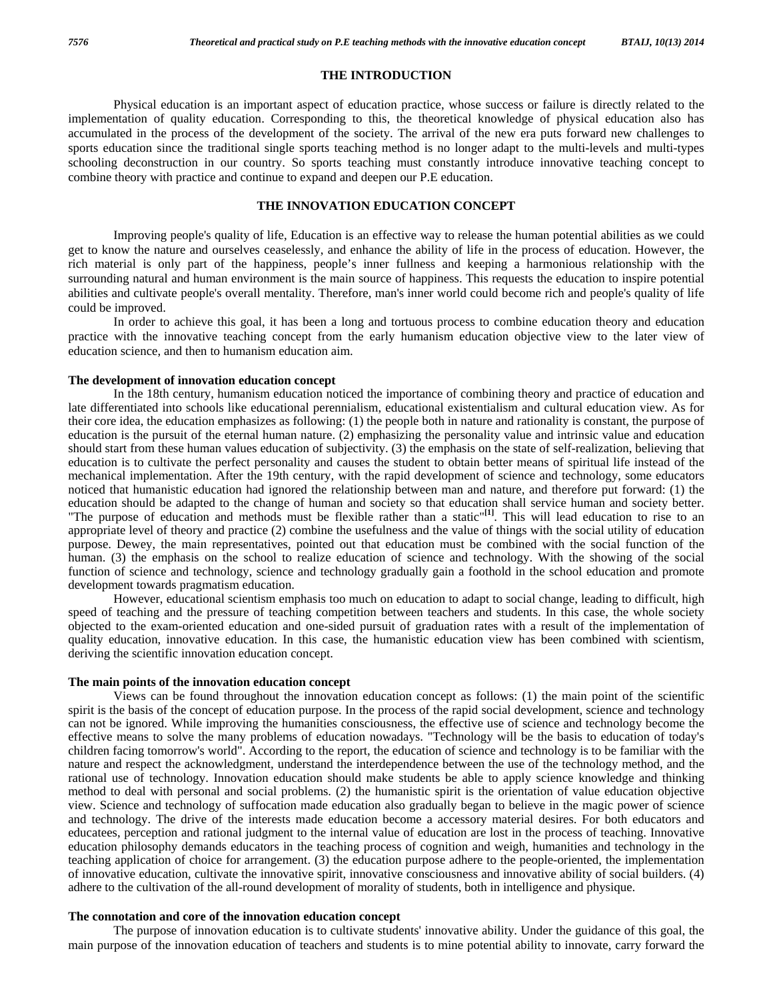#### **THE INTRODUCTION**

 Physical education is an important aspect of education practice, whose success or failure is directly related to the implementation of quality education. Corresponding to this, the theoretical knowledge of physical education also has accumulated in the process of the development of the society. The arrival of the new era puts forward new challenges to sports education since the traditional single sports teaching method is no longer adapt to the multi-levels and multi-types schooling deconstruction in our country. So sports teaching must constantly introduce innovative teaching concept to combine theory with practice and continue to expand and deepen our P.E education.

#### **THE INNOVATION EDUCATION CONCEPT**

 Improving people's quality of life, Education is an effective way to release the human potential abilities as we could get to know the nature and ourselves ceaselessly, and enhance the ability of life in the process of education. However, the rich material is only part of the happiness, people's inner fullness and keeping a harmonious relationship with the surrounding natural and human environment is the main source of happiness. This requests the education to inspire potential abilities and cultivate people's overall mentality. Therefore, man's inner world could become rich and people's quality of life could be improved.

 In order to achieve this goal, it has been a long and tortuous process to combine education theory and education practice with the innovative teaching concept from the early humanism education objective view to the later view of education science, and then to humanism education aim.

#### **The development of innovation education concept**

 In the 18th century, humanism education noticed the importance of combining theory and practice of education and late differentiated into schools like educational perennialism, educational existentialism and cultural education view. As for their core idea, the education emphasizes as following: (1) the people both in nature and rationality is constant, the purpose of education is the pursuit of the eternal human nature. (2) emphasizing the personality value and intrinsic value and education should start from these human values education of subjectivity. (3) the emphasis on the state of self-realization, believing that education is to cultivate the perfect personality and causes the student to obtain better means of spiritual life instead of the mechanical implementation. After the 19th century, with the rapid development of science and technology, some educators noticed that humanistic education had ignored the relationship between man and nature, and therefore put forward: (1) the education should be adapted to the change of human and society so that education shall service human and society better. "The purpose of education and methods must be flexible rather than a static"**[1]**. This will lead education to rise to an appropriate level of theory and practice (2) combine the usefulness and the value of things with the social utility of education purpose. Dewey, the main representatives, pointed out that education must be combined with the social function of the human. (3) the emphasis on the school to realize education of science and technology. With the showing of the social function of science and technology, science and technology gradually gain a foothold in the school education and promote development towards pragmatism education.

 However, educational scientism emphasis too much on education to adapt to social change, leading to difficult, high speed of teaching and the pressure of teaching competition between teachers and students. In this case, the whole society objected to the exam-oriented education and one-sided pursuit of graduation rates with a result of the implementation of quality education, innovative education. In this case, the humanistic education view has been combined with scientism, deriving the scientific innovation education concept.

#### **The main points of the innovation education concept**

 Views can be found throughout the innovation education concept as follows: (1) the main point of the scientific spirit is the basis of the concept of education purpose. In the process of the rapid social development, science and technology can not be ignored. While improving the humanities consciousness, the effective use of science and technology become the effective means to solve the many problems of education nowadays. "Technology will be the basis to education of today's children facing tomorrow's world". According to the report, the education of science and technology is to be familiar with the nature and respect the acknowledgment, understand the interdependence between the use of the technology method, and the rational use of technology. Innovation education should make students be able to apply science knowledge and thinking method to deal with personal and social problems. (2) the humanistic spirit is the orientation of value education objective view. Science and technology of suffocation made education also gradually began to believe in the magic power of science and technology. The drive of the interests made education become a accessory material desires. For both educators and educatees, perception and rational judgment to the internal value of education are lost in the process of teaching. Innovative education philosophy demands educators in the teaching process of cognition and weigh, humanities and technology in the teaching application of choice for arrangement. (3) the education purpose adhere to the people-oriented, the implementation of innovative education, cultivate the innovative spirit, innovative consciousness and innovative ability of social builders. (4) adhere to the cultivation of the all-round development of morality of students, both in intelligence and physique.

#### **The connotation and core of the innovation education concept**

 The purpose of innovation education is to cultivate students' innovative ability. Under the guidance of this goal, the main purpose of the innovation education of teachers and students is to mine potential ability to innovate, carry forward the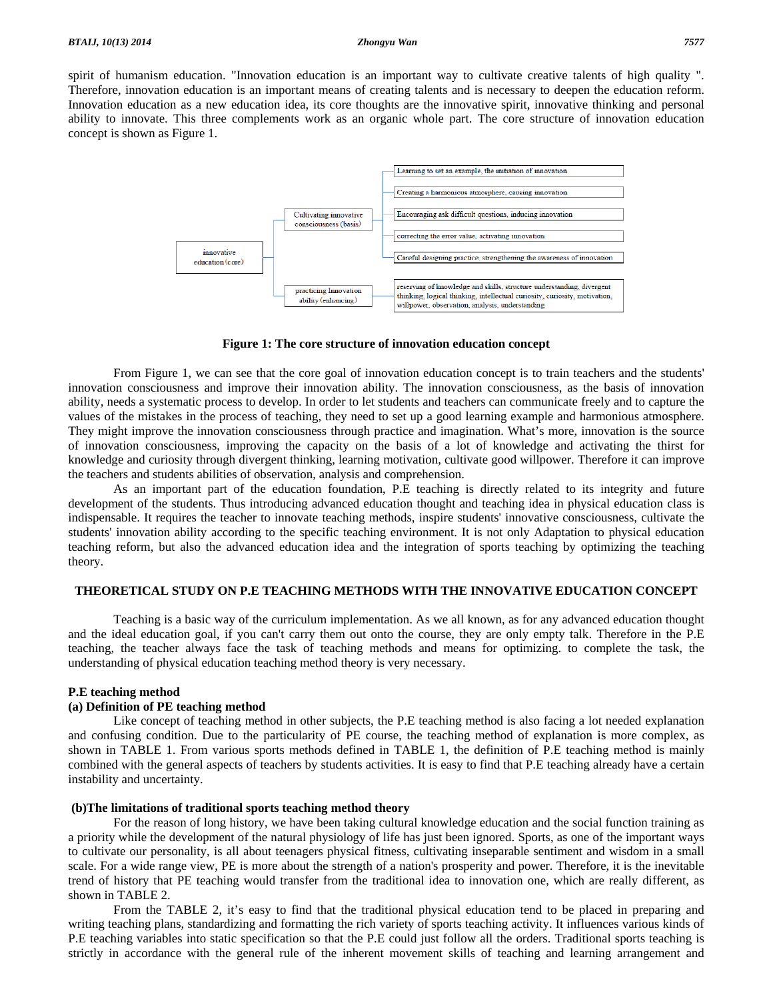spirit of humanism education. "Innovation education is an important way to cultivate creative talents of high quality ". Therefore, innovation education is an important means of creating talents and is necessary to deepen the education reform. Innovation education as a new education idea, its core thoughts are the innovative spirit, innovative thinking and personal ability to innovate. This three complements work as an organic whole part. The core structure of innovation education concept is shown as Figure 1.



**Figure 1: The core structure of innovation education concept** 

 From Figure 1, we can see that the core goal of innovation education concept is to train teachers and the students' innovation consciousness and improve their innovation ability. The innovation consciousness, as the basis of innovation ability, needs a systematic process to develop. In order to let students and teachers can communicate freely and to capture the values of the mistakes in the process of teaching, they need to set up a good learning example and harmonious atmosphere. They might improve the innovation consciousness through practice and imagination. What's more, innovation is the source of innovation consciousness, improving the capacity on the basis of a lot of knowledge and activating the thirst for knowledge and curiosity through divergent thinking, learning motivation, cultivate good willpower. Therefore it can improve the teachers and students abilities of observation, analysis and comprehension.

 As an important part of the education foundation, P.E teaching is directly related to its integrity and future development of the students. Thus introducing advanced education thought and teaching idea in physical education class is indispensable. It requires the teacher to innovate teaching methods, inspire students' innovative consciousness, cultivate the students' innovation ability according to the specific teaching environment. It is not only Adaptation to physical education teaching reform, but also the advanced education idea and the integration of sports teaching by optimizing the teaching theory.

#### **THEORETICAL STUDY ON P.E TEACHING METHODS WITH THE INNOVATIVE EDUCATION CONCEPT**

 Teaching is a basic way of the curriculum implementation. As we all known, as for any advanced education thought and the ideal education goal, if you can't carry them out onto the course, they are only empty talk. Therefore in the P.E teaching, the teacher always face the task of teaching methods and means for optimizing. to complete the task, the understanding of physical education teaching method theory is very necessary.

#### **P.E teaching method**

#### **(a) Definition of PE teaching method**

 Like concept of teaching method in other subjects, the P.E teaching method is also facing a lot needed explanation and confusing condition. Due to the particularity of PE course, the teaching method of explanation is more complex, as shown in TABLE 1. From various sports methods defined in TABLE 1, the definition of P.E teaching method is mainly combined with the general aspects of teachers by students activities. It is easy to find that P.E teaching already have a certain instability and uncertainty.

#### **(b)The limitations of traditional sports teaching method theory**

 For the reason of long history, we have been taking cultural knowledge education and the social function training as a priority while the development of the natural physiology of life has just been ignored. Sports, as one of the important ways to cultivate our personality, is all about teenagers physical fitness, cultivating inseparable sentiment and wisdom in a small scale. For a wide range view, PE is more about the strength of a nation's prosperity and power. Therefore, it is the inevitable trend of history that PE teaching would transfer from the traditional idea to innovation one, which are really different, as shown in TABLE 2.

 From the TABLE 2, it's easy to find that the traditional physical education tend to be placed in preparing and writing teaching plans, standardizing and formatting the rich variety of sports teaching activity. It influences various kinds of P.E teaching variables into static specification so that the P.E could just follow all the orders. Traditional sports teaching is strictly in accordance with the general rule of the inherent movement skills of teaching and learning arrangement and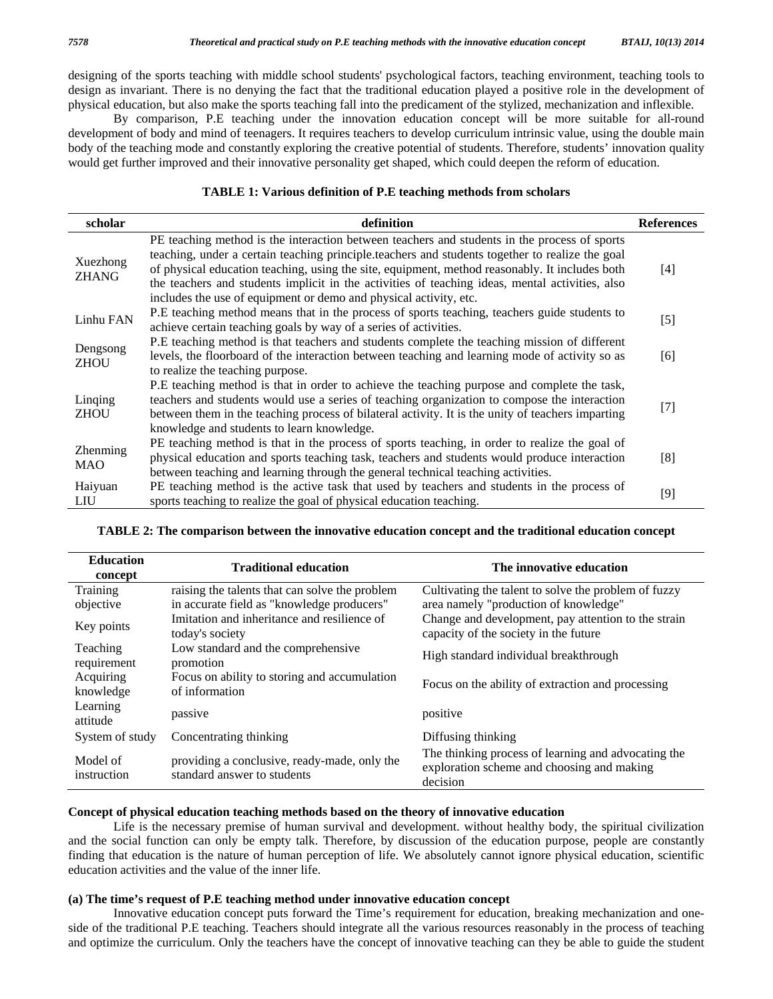designing of the sports teaching with middle school students' psychological factors, teaching environment, teaching tools to design as invariant. There is no denying the fact that the traditional education played a positive role in the development of physical education, but also make the sports teaching fall into the predicament of the stylized, mechanization and inflexible.

 By comparison, P.E teaching under the innovation education concept will be more suitable for all-round development of body and mind of teenagers. It requires teachers to develop curriculum intrinsic value, using the double main body of the teaching mode and constantly exploring the creative potential of students. Therefore, students' innovation quality would get further improved and their innovative personality get shaped, which could deepen the reform of education.

#### **TABLE 1: Various definition of P.E teaching methods from scholars**

| scholar                  | definition                                                                                        | <b>References</b> |
|--------------------------|---------------------------------------------------------------------------------------------------|-------------------|
| Xuezhong<br><b>ZHANG</b> | PE teaching method is the interaction between teachers and students in the process of sports      |                   |
|                          | teaching, under a certain teaching principle.teachers and students together to realize the goal   |                   |
|                          | of physical education teaching, using the site, equipment, method reasonably. It includes both    | [4]               |
|                          | the teachers and students implicit in the activities of teaching ideas, mental activities, also   |                   |
|                          | includes the use of equipment or demo and physical activity, etc.                                 |                   |
| Linhu FAN                | P.E teaching method means that in the process of sports teaching, teachers guide students to      | $[5]$             |
|                          | achieve certain teaching goals by way of a series of activities.                                  |                   |
| Dengsong<br><b>ZHOU</b>  | P.E teaching method is that teachers and students complete the teaching mission of different      |                   |
|                          | levels, the floorboard of the interaction between teaching and learning mode of activity so as    | [6]               |
|                          | to realize the teaching purpose.                                                                  |                   |
| Linging<br><b>ZHOU</b>   | P.E teaching method is that in order to achieve the teaching purpose and complete the task,       |                   |
|                          | teachers and students would use a series of teaching organization to compose the interaction      | $[7]$             |
|                          | between them in the teaching process of bilateral activity. It is the unity of teachers imparting |                   |
|                          | knowledge and students to learn knowledge.                                                        |                   |
| Zhenming<br><b>MAO</b>   | PE teaching method is that in the process of sports teaching, in order to realize the goal of     |                   |
|                          | physical education and sports teaching task, teachers and students would produce interaction      | [8]               |
|                          | between teaching and learning through the general technical teaching activities.                  |                   |
| Haiyuan                  | PE teaching method is the active task that used by teachers and students in the process of        |                   |
| <b>LIU</b>               | sports teaching to realize the goal of physical education teaching.                               | [9]               |

| <b>Education</b><br>concept | <b>Traditional education</b>                                                | The innovative education                                                                                      |
|-----------------------------|-----------------------------------------------------------------------------|---------------------------------------------------------------------------------------------------------------|
| Training                    | raising the talents that can solve the problem                              | Cultivating the talent to solve the problem of fuzzy                                                          |
| objective                   | in accurate field as "knowledge producers"                                  | area namely "production of knowledge"                                                                         |
| Key points                  | Imitation and inheritance and resilience of<br>today's society              | Change and development, pay attention to the strain<br>capacity of the society in the future                  |
| Teaching<br>requirement     | Low standard and the comprehensive<br>promotion                             | High standard individual breakthrough                                                                         |
| Acquiring<br>knowledge      | Focus on ability to storing and accumulation<br>of information              | Focus on the ability of extraction and processing                                                             |
| Learning<br>attitude        | passive                                                                     | positive                                                                                                      |
| System of study             | Concentrating thinking                                                      | Diffusing thinking                                                                                            |
| Model of<br>instruction     | providing a conclusive, ready-made, only the<br>standard answer to students | The thinking process of learning and advocating the<br>exploration scheme and choosing and making<br>decision |

#### **TABLE 2: The comparison between the innovative education concept and the traditional education concept**

#### **Concept of physical education teaching methods based on the theory of innovative education**

 Life is the necessary premise of human survival and development. without healthy body, the spiritual civilization and the social function can only be empty talk. Therefore, by discussion of the education purpose, people are constantly finding that education is the nature of human perception of life. We absolutely cannot ignore physical education, scientific education activities and the value of the inner life.

#### **(a) The time's request of P.E teaching method under innovative education concept**

 Innovative education concept puts forward the Time's requirement for education, breaking mechanization and oneside of the traditional P.E teaching. Teachers should integrate all the various resources reasonably in the process of teaching and optimize the curriculum. Only the teachers have the concept of innovative teaching can they be able to guide the student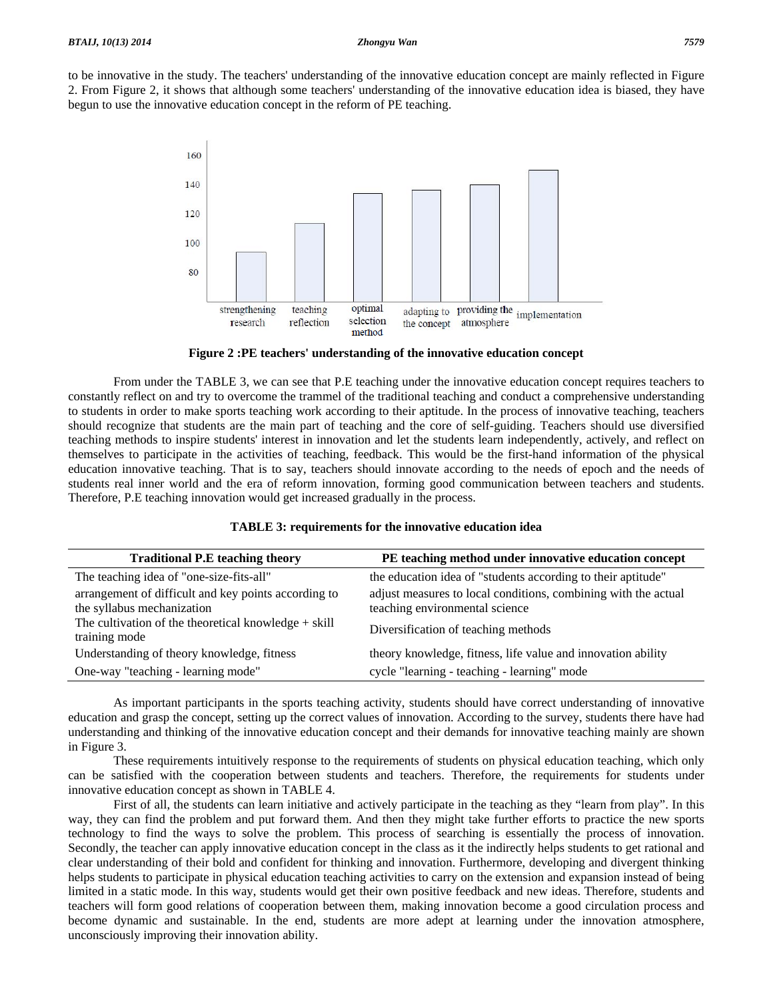to be innovative in the study. The teachers' understanding of the innovative education concept are mainly reflected in Figure 2. From Figure 2, it shows that although some teachers' understanding of the innovative education idea is biased, they have begun to use the innovative education concept in the reform of PE teaching.



**Figure 2 :PE teachers' understanding of the innovative education concept** 

 From under the TABLE 3, we can see that P.E teaching under the innovative education concept requires teachers to constantly reflect on and try to overcome the trammel of the traditional teaching and conduct a comprehensive understanding to students in order to make sports teaching work according to their aptitude. In the process of innovative teaching, teachers should recognize that students are the main part of teaching and the core of self-guiding. Teachers should use diversified teaching methods to inspire students' interest in innovation and let the students learn independently, actively, and reflect on themselves to participate in the activities of teaching, feedback. This would be the first-hand information of the physical education innovative teaching. That is to say, teachers should innovate according to the needs of epoch and the needs of students real inner world and the era of reform innovation, forming good communication between teachers and students. Therefore, P.E teaching innovation would get increased gradually in the process.

| <b>Traditional P.E teaching theory</b>                                             | PE teaching method under innovative education concept                                            |
|------------------------------------------------------------------------------------|--------------------------------------------------------------------------------------------------|
| The teaching idea of "one-size-fits-all"                                           | the education idea of "students according to their aptitude"                                     |
| arrangement of difficult and key points according to<br>the syllabus mechanization | adjust measures to local conditions, combining with the actual<br>teaching environmental science |
| The cultivation of the theoretical knowledge $+$ skill<br>training mode            | Diversification of teaching methods                                                              |
| Understanding of theory knowledge, fitness                                         | theory knowledge, fitness, life value and innovation ability                                     |
| One-way "teaching - learning mode"                                                 | cycle "learning - teaching - learning" mode                                                      |

### **TABLE 3: requirements for the innovative education idea**

 As important participants in the sports teaching activity, students should have correct understanding of innovative education and grasp the concept, setting up the correct values of innovation. According to the survey, students there have had understanding and thinking of the innovative education concept and their demands for innovative teaching mainly are shown in Figure 3.

 These requirements intuitively response to the requirements of students on physical education teaching, which only can be satisfied with the cooperation between students and teachers. Therefore, the requirements for students under innovative education concept as shown in TABLE 4.

 First of all, the students can learn initiative and actively participate in the teaching as they "learn from play". In this way, they can find the problem and put forward them. And then they might take further efforts to practice the new sports technology to find the ways to solve the problem. This process of searching is essentially the process of innovation. Secondly, the teacher can apply innovative education concept in the class as it the indirectly helps students to get rational and clear understanding of their bold and confident for thinking and innovation. Furthermore, developing and divergent thinking helps students to participate in physical education teaching activities to carry on the extension and expansion instead of being limited in a static mode. In this way, students would get their own positive feedback and new ideas. Therefore, students and teachers will form good relations of cooperation between them, making innovation become a good circulation process and become dynamic and sustainable. In the end, students are more adept at learning under the innovation atmosphere, unconsciously improving their innovation ability.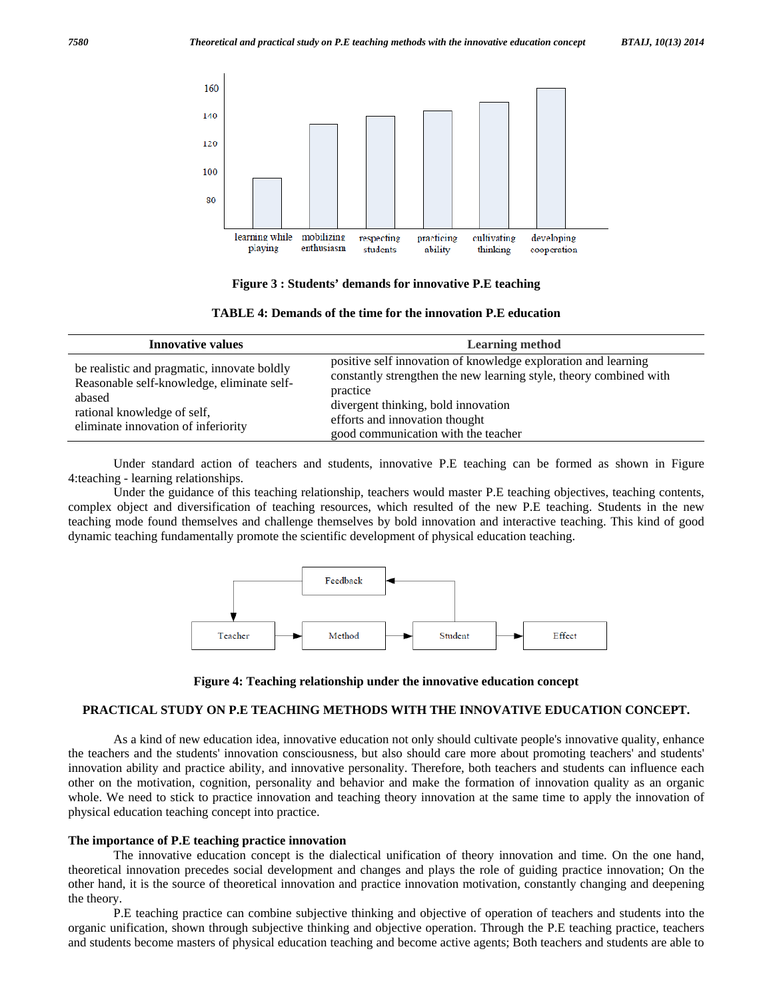

**Figure 3 : Students' demands for innovative P.E teaching** 

| TABLE 4: Demands of the time for the innovation P.E education |  |  |
|---------------------------------------------------------------|--|--|
|---------------------------------------------------------------|--|--|

| <b>Innovative values</b>                                                                                                                                                  | <b>Learning method</b>                                                                                                                                                                                                                                           |
|---------------------------------------------------------------------------------------------------------------------------------------------------------------------------|------------------------------------------------------------------------------------------------------------------------------------------------------------------------------------------------------------------------------------------------------------------|
| be realistic and pragmatic, innovate boldly<br>Reasonable self-knowledge, eliminate self-<br>abased<br>rational knowledge of self,<br>eliminate innovation of inferiority | positive self innovation of knowledge exploration and learning<br>constantly strengthen the new learning style, theory combined with<br>practice<br>divergent thinking, bold innovation<br>efforts and innovation thought<br>good communication with the teacher |

 Under standard action of teachers and students, innovative P.E teaching can be formed as shown in Figure 4:teaching - learning relationships.

 Under the guidance of this teaching relationship, teachers would master P.E teaching objectives, teaching contents, complex object and diversification of teaching resources, which resulted of the new P.E teaching. Students in the new teaching mode found themselves and challenge themselves by bold innovation and interactive teaching. This kind of good dynamic teaching fundamentally promote the scientific development of physical education teaching.





#### **PRACTICAL STUDY ON P.E TEACHING METHODS WITH THE INNOVATIVE EDUCATION CONCEPT.**

 As a kind of new education idea, innovative education not only should cultivate people's innovative quality, enhance the teachers and the students' innovation consciousness, but also should care more about promoting teachers' and students' innovation ability and practice ability, and innovative personality. Therefore, both teachers and students can influence each other on the motivation, cognition, personality and behavior and make the formation of innovation quality as an organic whole. We need to stick to practice innovation and teaching theory innovation at the same time to apply the innovation of physical education teaching concept into practice.

#### **The importance of P.E teaching practice innovation**

 The innovative education concept is the dialectical unification of theory innovation and time. On the one hand, theoretical innovation precedes social development and changes and plays the role of guiding practice innovation; On the other hand, it is the source of theoretical innovation and practice innovation motivation, constantly changing and deepening the theory.

 P.E teaching practice can combine subjective thinking and objective of operation of teachers and students into the organic unification, shown through subjective thinking and objective operation. Through the P.E teaching practice, teachers and students become masters of physical education teaching and become active agents; Both teachers and students are able to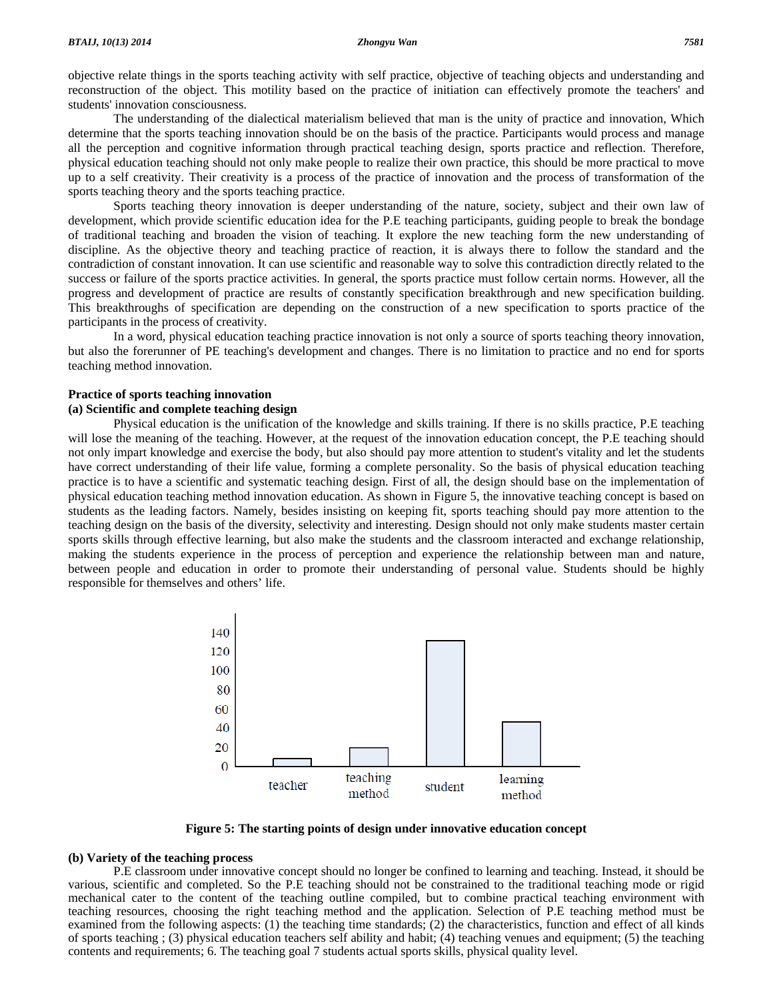objective relate things in the sports teaching activity with self practice, objective of teaching objects and understanding and reconstruction of the object. This motility based on the practice of initiation can effectively promote the teachers' and students' innovation consciousness.

 The understanding of the dialectical materialism believed that man is the unity of practice and innovation, Which determine that the sports teaching innovation should be on the basis of the practice. Participants would process and manage all the perception and cognitive information through practical teaching design, sports practice and reflection. Therefore, physical education teaching should not only make people to realize their own practice, this should be more practical to move up to a self creativity. Their creativity is a process of the practice of innovation and the process of transformation of the sports teaching theory and the sports teaching practice.

 Sports teaching theory innovation is deeper understanding of the nature, society, subject and their own law of development, which provide scientific education idea for the P.E teaching participants, guiding people to break the bondage of traditional teaching and broaden the vision of teaching. It explore the new teaching form the new understanding of discipline. As the objective theory and teaching practice of reaction, it is always there to follow the standard and the contradiction of constant innovation. It can use scientific and reasonable way to solve this contradiction directly related to the success or failure of the sports practice activities. In general, the sports practice must follow certain norms. However, all the progress and development of practice are results of constantly specification breakthrough and new specification building. This breakthroughs of specification are depending on the construction of a new specification to sports practice of the participants in the process of creativity.

 In a word, physical education teaching practice innovation is not only a source of sports teaching theory innovation, but also the forerunner of PE teaching's development and changes. There is no limitation to practice and no end for sports teaching method innovation.

#### **Practice of sports teaching innovation (a) Scientific and complete teaching design**

 Physical education is the unification of the knowledge and skills training. If there is no skills practice, P.E teaching will lose the meaning of the teaching. However, at the request of the innovation education concept, the P.E teaching should not only impart knowledge and exercise the body, but also should pay more attention to student's vitality and let the students have correct understanding of their life value, forming a complete personality. So the basis of physical education teaching practice is to have a scientific and systematic teaching design. First of all, the design should base on the implementation of physical education teaching method innovation education. As shown in Figure 5, the innovative teaching concept is based on students as the leading factors. Namely, besides insisting on keeping fit, sports teaching should pay more attention to the teaching design on the basis of the diversity, selectivity and interesting. Design should not only make students master certain sports skills through effective learning, but also make the students and the classroom interacted and exchange relationship, making the students experience in the process of perception and experience the relationship between man and nature, between people and education in order to promote their understanding of personal value. Students should be highly responsible for themselves and others' life.



**Figure 5: The starting points of design under innovative education concept** 

#### **(b) Variety of the teaching process**

 P.E classroom under innovative concept should no longer be confined to learning and teaching. Instead, it should be various, scientific and completed. So the P.E teaching should not be constrained to the traditional teaching mode or rigid mechanical cater to the content of the teaching outline compiled, but to combine practical teaching environment with teaching resources, choosing the right teaching method and the application. Selection of P.E teaching method must be examined from the following aspects: (1) the teaching time standards; (2) the characteristics, function and effect of all kinds of sports teaching ; (3) physical education teachers self ability and habit; (4) teaching venues and equipment; (5) the teaching contents and requirements; 6. The teaching goal 7 students actual sports skills, physical quality level.